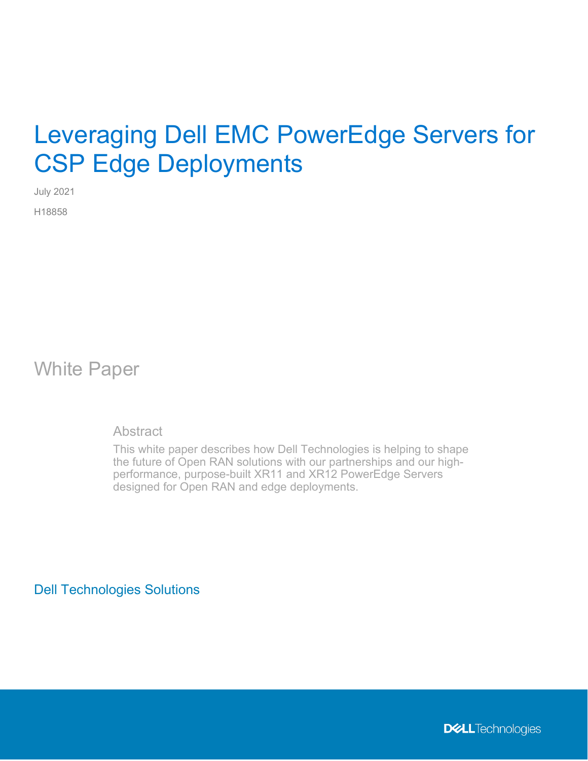# Leveraging Dell EMC PowerEdge Servers for CSP Edge Deployments

July 2021 H18858

White Paper

**Abstract** 

This white paper describes how Dell Technologies is helping to shape the future of Open RAN solutions with our partnerships and our highperformance, purpose-built XR11 and XR12 PowerEdge Servers designed for Open RAN and edge deployments.

Dell Technologies Solutions

**DELL**Technologies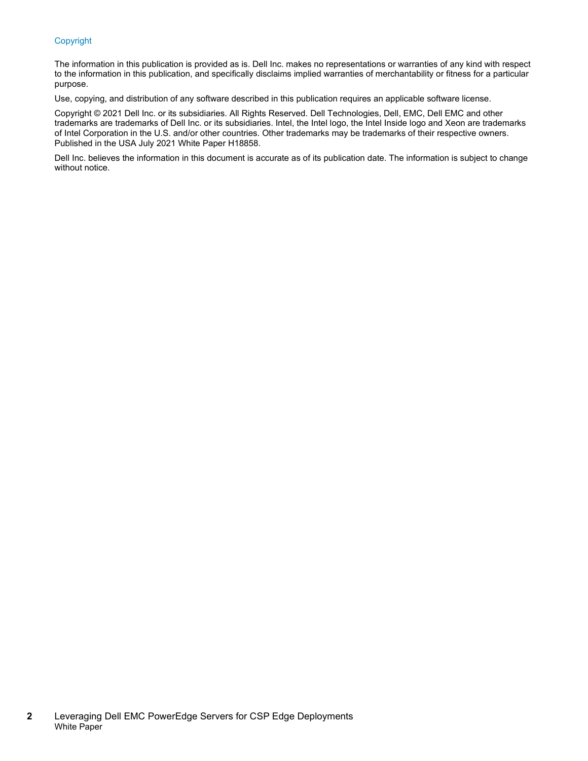#### Copyright

The information in this publication is provided as is. Dell Inc. makes no representations or warranties of any kind with respect to the information in this publication, and specifically disclaims implied warranties of merchantability or fitness for a particular purpose.

Use, copying, and distribution of any software described in this publication requires an applicable software license.

Copyright © 2021 Dell Inc. or its subsidiaries. All Rights Reserved. Dell Technologies, Dell, EMC, Dell EMC and other trademarks are trademarks of Dell Inc. or its subsidiaries. Intel, the Intel logo, the Intel Inside logo and Xeon are trademarks of Intel Corporation in the U.S. and/or other countries. Other trademarks may be trademarks of their respective owners. Published in the USA July 2021 White Paper H18858.

Dell Inc. believes the information in this document is accurate as of its publication date. The information is subject to change without notice.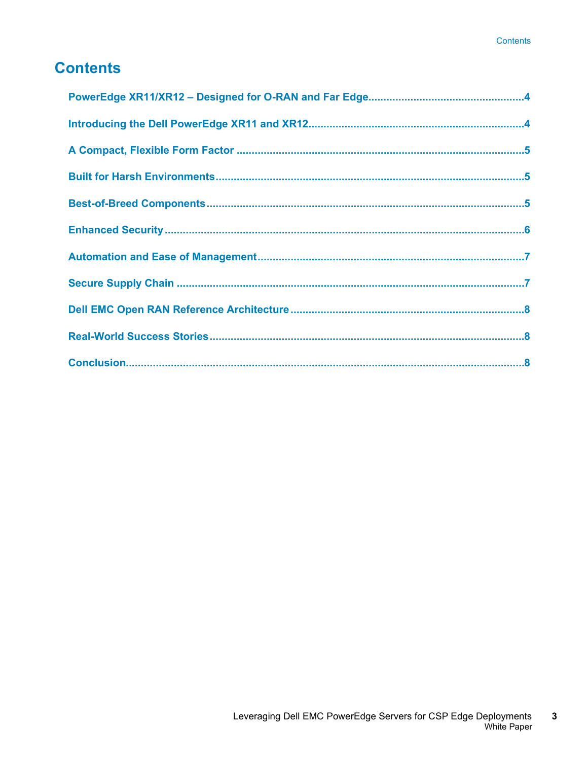# **Contents**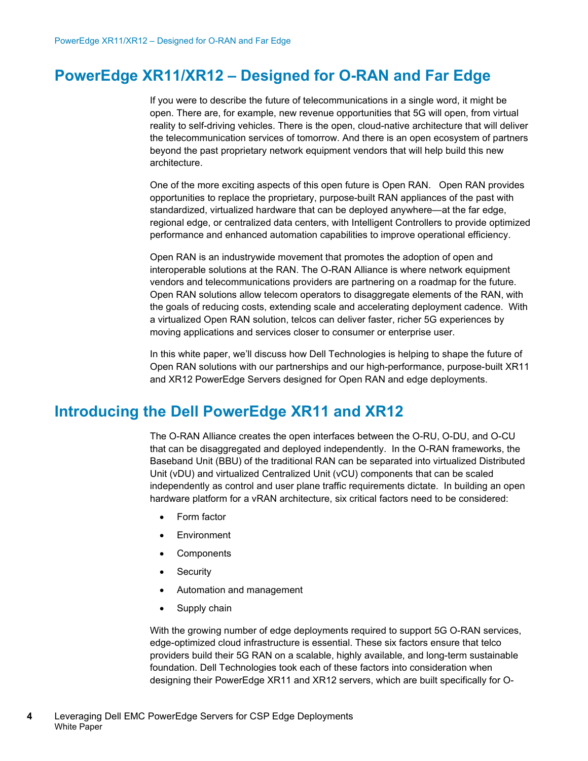# <span id="page-3-0"></span>**PowerEdge XR11/XR12 – Designed for O-RAN and Far Edge**

If you were to describe the future of telecommunications in a single word, it might be open. There are, for example, new revenue opportunities that 5G will open, from virtual reality to self-driving vehicles. There is the open, cloud-native architecture that will deliver the telecommunication services of tomorrow. And there is an open ecosystem of partners beyond the past proprietary network equipment vendors that will help build this new architecture.

One of the more exciting aspects of this open future is Open RAN. Open RAN provides opportunities to replace the proprietary, purpose-built RAN appliances of the past with standardized, virtualized hardware that can be deployed anywhere—at the far edge, regional edge, or centralized data centers, with Intelligent Controllers to provide optimized performance and enhanced automation capabilities to improve operational efficiency.

Open RAN is an industrywide movement that promotes the adoption of open and interoperable solutions at the RAN. The O-RAN Alliance is where network equipment vendors and telecommunications providers are partnering on a roadmap for the future. Open RAN solutions allow telecom operators to disaggregate elements of the RAN, with the goals of reducing costs, extending scale and accelerating deployment cadence. With a virtualized Open RAN solution, telcos can deliver faster, richer 5G experiences by moving applications and services closer to consumer or enterprise user.

In this white paper, we'll discuss how Dell Technologies is helping to shape the future of Open RAN solutions with our partnerships and our high-performance, purpose-built XR11 and XR12 PowerEdge Servers designed for Open RAN and edge deployments.

# <span id="page-3-1"></span>**Introducing the Dell PowerEdge XR11 and XR12**

The O-RAN Alliance creates the open interfaces between the O-RU, O-DU, and O-CU that can be disaggregated and deployed independently. In the O-RAN frameworks, the Baseband Unit (BBU) of the traditional RAN can be separated into virtualized Distributed Unit (vDU) and virtualized Centralized Unit (vCU) components that can be scaled independently as control and user plane traffic requirements dictate. In building an open hardware platform for a vRAN architecture, six critical factors need to be considered:

- Form factor
- **Environment**
- Components
- Security
- Automation and management
- Supply chain

With the growing number of edge deployments required to support 5G O-RAN services, edge-optimized cloud infrastructure is essential. These six factors ensure that telco providers build their 5G RAN on a scalable, highly available, and long-term sustainable foundation. Dell Technologies took each of these factors into consideration when designing their PowerEdge XR11 and XR12 servers, which are built specifically for O-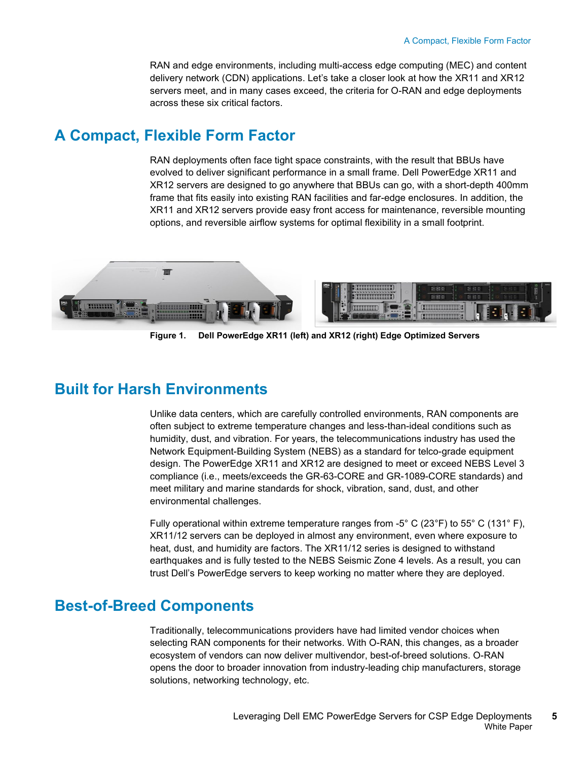RAN and edge environments, including multi-access edge computing (MEC) and content delivery network (CDN) applications. Let's take a closer look at how the XR11 and XR12 servers meet, and in many cases exceed, the criteria for O-RAN and edge deployments across these six critical factors.

# <span id="page-4-0"></span>**A Compact, Flexible Form Factor**

RAN deployments often face tight space constraints, with the result that BBUs have evolved to deliver significant performance in a small frame. Dell PowerEdge XR11 and XR12 servers are designed to go anywhere that BBUs can go, with a short-depth 400mm frame that fits easily into existing RAN facilities and far-edge enclosures. In addition, the XR11 and XR12 servers provide easy front access for maintenance, reversible mounting options, and reversible airflow systems for optimal flexibility in a small footprint.

**HHHHHHH** 



**Figure 1. Dell PowerEdge XR11 (left) and XR12 (right) Edge Optimized Servers**

# <span id="page-4-1"></span>**Built for Harsh Environments**

Unlike data centers, which are carefully controlled environments, RAN components are often subject to extreme temperature changes and less-than-ideal conditions such as humidity, dust, and vibration. For years, the telecommunications industry has used the Network Equipment-Building System (NEBS) as a standard for telco-grade equipment design. The PowerEdge XR11 and XR12 are designed to meet or exceed NEBS Level 3 compliance (i.e., meets/exceeds the GR-63-CORE and GR-1089-CORE standards) and meet military and marine standards for shock, vibration, sand, dust, and other environmental challenges.

Fully operational within extreme temperature ranges from -5° C (23°F) to 55° C (131°F), XR11/12 servers can be deployed in almost any environment, even where exposure to heat, dust, and humidity are factors. The XR11/12 series is designed to withstand earthquakes and is fully tested to the NEBS Seismic Zone 4 levels. As a result, you can trust Dell's PowerEdge servers to keep working no matter where they are deployed.

# <span id="page-4-2"></span>**Best-of-Breed Components**

Traditionally, telecommunications providers have had limited vendor choices when selecting RAN components for their networks. With O-RAN, this changes, as a broader ecosystem of vendors can now deliver multivendor, best-of-breed solutions. O-RAN opens the door to broader innovation from industry-leading chip manufacturers, storage solutions, networking technology, etc.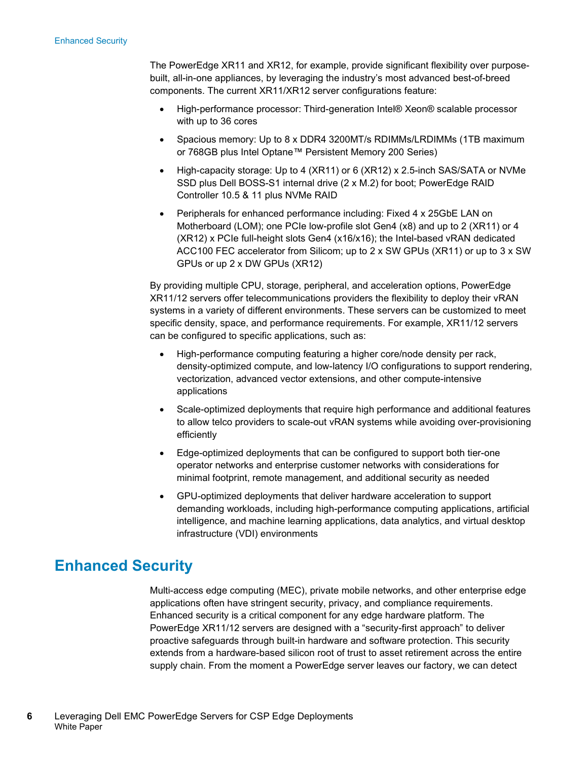The PowerEdge XR11 and XR12, for example, provide significant flexibility over purposebuilt, all-in-one appliances, by leveraging the industry's most advanced best-of-breed components. The current XR11/XR12 server configurations feature:

- High-performance processor: Third-generation Intel® Xeon® scalable processor with up to 36 cores
- Spacious memory: Up to 8 x DDR4 3200MT/s RDIMMs/LRDIMMs (1TB maximum or 768GB plus Intel Optane™ Persistent Memory 200 Series)
- High-capacity storage: Up to 4 (XR11) or 6 (XR12) x 2.5-inch SAS/SATA or NVMe SSD plus Dell BOSS-S1 internal drive (2 x M.2) for boot; PowerEdge RAID Controller 10.5 & 11 plus NVMe RAID
- Peripherals for enhanced performance including: Fixed 4 x 25GbE LAN on Motherboard (LOM); one PCIe low-profile slot Gen4 (x8) and up to 2 (XR11) or 4 (XR12) x PCIe full-height slots Gen4 (x16/x16); the Intel-based vRAN dedicated ACC100 FEC accelerator from Silicom; up to 2 x SW GPUs (XR11) or up to 3 x SW GPUs or up 2 x DW GPUs (XR12)

By providing multiple CPU, storage, peripheral, and acceleration options, PowerEdge XR11/12 servers offer telecommunications providers the flexibility to deploy their vRAN systems in a variety of different environments. These servers can be customized to meet specific density, space, and performance requirements. For example, XR11/12 servers can be configured to specific applications, such as:

- High-performance computing featuring a higher core/node density per rack, density-optimized compute, and low-latency I/O configurations to support rendering, vectorization, advanced vector extensions, and other compute-intensive applications
- Scale-optimized deployments that require high performance and additional features to allow telco providers to scale-out vRAN systems while avoiding over-provisioning efficiently
- Edge-optimized deployments that can be configured to support both tier-one operator networks and enterprise customer networks with considerations for minimal footprint, remote management, and additional security as needed
- GPU-optimized deployments that deliver hardware acceleration to support demanding workloads, including high-performance computing applications, artificial intelligence, and machine learning applications, data analytics, and virtual desktop infrastructure (VDI) environments

# <span id="page-5-0"></span>**Enhanced Security**

Multi-access edge computing (MEC), private mobile networks, and other enterprise edge applications often have stringent security, privacy, and compliance requirements. Enhanced security is a critical component for any edge hardware platform. The PowerEdge XR11/12 servers are designed with a "security-first approach" to deliver proactive safeguards through built-in hardware and software protection. This security extends from a hardware-based silicon root of trust to asset retirement across the entire supply chain. From the moment a PowerEdge server leaves our factory, we can detect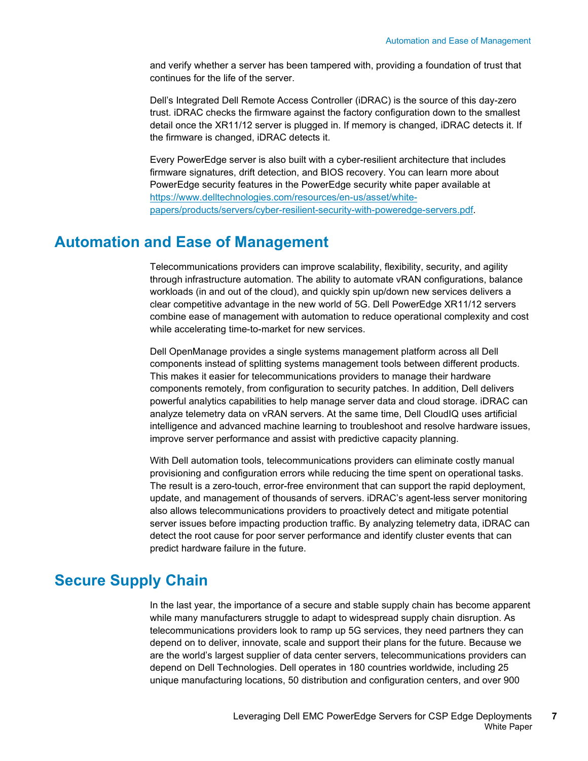and verify whether a server has been tampered with, providing a foundation of trust that continues for the life of the server.

Dell's Integrated Dell Remote Access Controller (iDRAC) is the source of this day-zero trust. iDRAC checks the firmware against the factory configuration down to the smallest detail once the XR11/12 server is plugged in. If memory is changed, iDRAC detects it. If the firmware is changed, iDRAC detects it.

Every PowerEdge server is also built with a cyber-resilient architecture that includes firmware signatures, drift detection, and BIOS recovery. You can learn more about PowerEdge security features in the PowerEdge security white paper available at [https://www.delltechnologies.com/resources/en-us/asset/white](https://www.delltechnologies.com/resources/en-us/asset/white-papers/products/servers/cyber-resilient-security-with-poweredge-servers.pdf)[papers/products/servers/cyber-resilient-security-with-poweredge-servers.pdf.](https://www.delltechnologies.com/resources/en-us/asset/white-papers/products/servers/cyber-resilient-security-with-poweredge-servers.pdf)

## <span id="page-6-0"></span>**Automation and Ease of Management**

Telecommunications providers can improve scalability, flexibility, security, and agility through infrastructure automation. The ability to automate vRAN configurations, balance workloads (in and out of the cloud), and quickly spin up/down new services delivers a clear competitive advantage in the new world of 5G. Dell PowerEdge XR11/12 servers combine ease of management with automation to reduce operational complexity and cost while accelerating time-to-market for new services.

Dell OpenManage provides a single systems management platform across all Dell components instead of splitting systems management tools between different products. This makes it easier for telecommunications providers to manage their hardware components remotely, from configuration to security patches. In addition, Dell delivers powerful analytics capabilities to help manage server data and cloud storage. iDRAC can analyze telemetry data on vRAN servers. At the same time, Dell CloudIQ uses artificial intelligence and advanced machine learning to troubleshoot and resolve hardware issues, improve server performance and assist with predictive capacity planning.

With Dell automation tools, telecommunications providers can eliminate costly manual provisioning and configuration errors while reducing the time spent on operational tasks. The result is a zero-touch, error-free environment that can support the rapid deployment, update, and management of thousands of servers. iDRAC's agent-less server monitoring also allows telecommunications providers to proactively detect and mitigate potential server issues before impacting production traffic. By analyzing telemetry data, iDRAC can detect the root cause for poor server performance and identify cluster events that can predict hardware failure in the future.

# <span id="page-6-1"></span>**Secure Supply Chain**

In the last year, the importance of a secure and stable supply chain has become apparent while many manufacturers struggle to adapt to widespread supply chain disruption. As telecommunications providers look to ramp up 5G services, they need partners they can depend on to deliver, innovate, scale and support their plans for the future. Because we are the world's largest supplier of data center servers, telecommunications providers can depend on Dell Technologies. Dell operates in 180 countries worldwide, including 25 unique manufacturing locations, 50 distribution and configuration centers, and over 900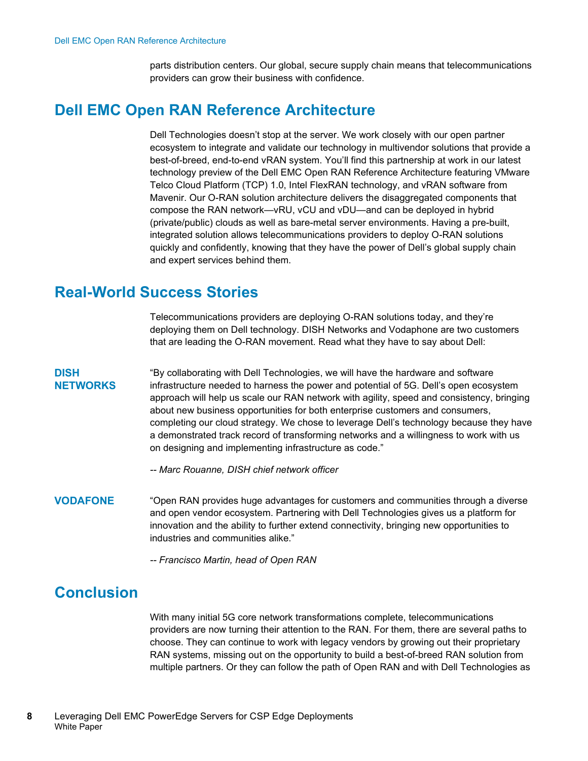parts distribution centers. Our global, secure supply chain means that telecommunications providers can grow their business with confidence.

## <span id="page-7-0"></span>**Dell EMC Open RAN Reference Architecture**

Dell Technologies doesn't stop at the server. We work closely with our open partner ecosystem to integrate and validate our technology in multivendor solutions that provide a best-of-breed, end-to-end vRAN system. You'll find this partnership at work in our latest technology preview of the Dell EMC Open RAN Reference Architecture featuring VMware Telco Cloud Platform (TCP) 1.0, Intel FlexRAN technology, and vRAN software from Mavenir. Our O-RAN solution architecture delivers the disaggregated components that compose the RAN network—vRU, vCU and vDU—and can be deployed in hybrid (private/public) clouds as well as bare-metal server environments. Having a pre-built, integrated solution allows telecommunications providers to deploy O-RAN solutions quickly and confidently, knowing that they have the power of Dell's global supply chain and expert services behind them.

# <span id="page-7-1"></span>**Real-World Success Stories**

Telecommunications providers are deploying O-RAN solutions today, and they're deploying them on Dell technology. DISH Networks and Vodaphone are two customers that are leading the O-RAN movement. Read what they have to say about Dell:

### **DISH NETWORKS**

"By collaborating with Dell Technologies, we will have the hardware and software infrastructure needed to harness the power and potential of 5G. Dell's open ecosystem approach will help us scale our RAN network with agility, speed and consistency, bringing about new business opportunities for both enterprise customers and consumers, completing our cloud strategy. We chose to leverage Dell's technology because they have a demonstrated track record of transforming networks and a willingness to work with us on designing and implementing infrastructure as code."

*-- Marc Rouanne, DISH chief network officer*

"Open RAN provides huge advantages for customers and communities through a diverse and open vendor ecosystem. Partnering with Dell Technologies gives us a platform for innovation and the ability to further extend connectivity, bringing new opportunities to industries and communities alike." **VODAFONE**

*-- Francisco Martin, head of Open RAN*

# <span id="page-7-2"></span>**Conclusion**

With many initial 5G core network transformations complete, telecommunications providers are now turning their attention to the RAN. For them, there are several paths to choose. They can continue to work with legacy vendors by growing out their proprietary RAN systems, missing out on the opportunity to build a best-of-breed RAN solution from multiple partners. Or they can follow the path of Open RAN and with Dell Technologies as